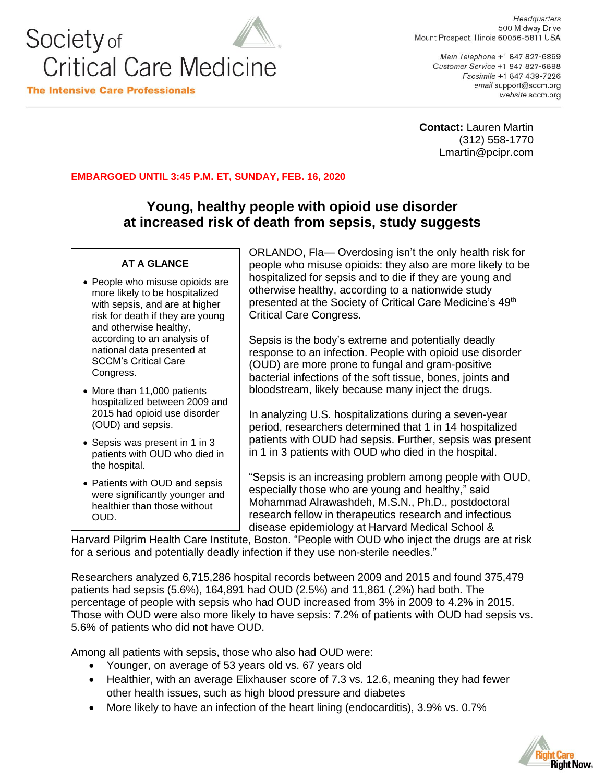

Headquarters 500 Midway Drive Mount Prospect, Illinois 60056-5811 USA

Main Telephone +1 847 827-6869 Customer Service +1 847 827-6888 Facsimile +1 847 439-7226 email support@sccm.org website sccm.org

**Contact:** Lauren Martin (312) 558-1770 Lmartin@pcipr.com

## **EMBARGOED UNTIL 3:45 P.M. ET, SUNDAY, FEB. 16, 2020**

## **Young, healthy people with opioid use disorder at increased risk of death from sepsis, study suggests**

## **AT A GLANCE**

- People who misuse opioids are more likely to be hospitalized with sepsis, and are at higher risk for death if they are young and otherwise healthy, according to an analysis of national data presented at SCCM's Critical Care Congress.
- More than 11,000 patients hospitalized between 2009 and 2015 had opioid use disorder (OUD) and sepsis.
- Sepsis was present in 1 in 3 patients with OUD who died in the hospital.
- Patients with OUD and sepsis were significantly younger and healthier than those without OUD.

ORLANDO, Fla— Overdosing isn't the only health risk for people who misuse opioids: they also are more likely to be hospitalized for sepsis and to die if they are young and otherwise healthy, according to a nationwide study presented at the Society of Critical Care Medicine's 49<sup>th</sup> Critical Care Congress.

Sepsis is the body's extreme and potentially deadly response to an infection. People with opioid use disorder (OUD) are more prone to fungal and gram-positive bacterial infections of the soft tissue, bones, joints and bloodstream, likely because many inject the drugs.

In analyzing U.S. hospitalizations during a seven-year period, researchers determined that 1 in 14 hospitalized patients with OUD had sepsis. Further, sepsis was present in 1 in 3 patients with OUD who died in the hospital.

"Sepsis is an increasing problem among people with OUD, especially those who are young and healthy," said Mohammad Alrawashdeh, M.S.N., Ph.D., postdoctoral research fellow in therapeutics research and infectious disease epidemiology at Harvard Medical School &

Harvard Pilgrim Health Care Institute, Boston. "People with OUD who inject the drugs are at risk for a serious and potentially deadly infection if they use non-sterile needles."

Researchers analyzed 6,715,286 hospital records between 2009 and 2015 and found 375,479 patients had sepsis (5.6%), 164,891 had OUD (2.5%) and 11,861 (.2%) had both. The percentage of people with sepsis who had OUD increased from 3% in 2009 to 4.2% in 2015. Those with OUD were also more likely to have sepsis: 7.2% of patients with OUD had sepsis vs. 5.6% of patients who did not have OUD.

Among all patients with sepsis, those who also had OUD were:

- Younger, on average of 53 years old vs. 67 years old
- Healthier, with an average Elixhauser score of 7.3 vs. 12.6, meaning they had fewer other health issues, such as high blood pressure and diabetes
- More likely to have an infection of the heart lining (endocarditis), 3.9% vs. 0.7%